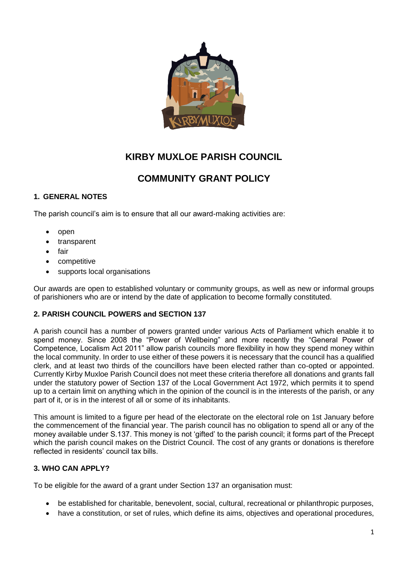

# **KIRBY MUXLOE PARISH COUNCIL**

# **COMMUNITY GRANT POLICY**

## **1. GENERAL NOTES**

The parish council's aim is to ensure that all our award-making activities are:

- open
- transparent
- fair
- competitive
- supports local organisations

Our awards are open to established voluntary or community groups, as well as new or informal groups of parishioners who are or intend by the date of application to become formally constituted.

### **2. PARISH COUNCIL POWERS and SECTION 137**

A parish council has a number of powers granted under various Acts of Parliament which enable it to spend money. Since 2008 the "Power of Wellbeing" and more recently the "General Power of Competence, Localism Act 2011" allow parish councils more flexibility in how they spend money within the local community. In order to use either of these powers it is necessary that the council has a qualified clerk, and at least two thirds of the councillors have been elected rather than co-opted or appointed. Currently Kirby Muxloe Parish Council does not meet these criteria therefore all donations and grants fall under the statutory power of Section 137 of the Local Government Act 1972, which permits it to spend up to a certain limit on anything which in the opinion of the council is in the interests of the parish, or any part of it, or is in the interest of all or some of its inhabitants.

This amount is limited to a figure per head of the electorate on the electoral role on 1st January before the commencement of the financial year. The parish council has no obligation to spend all or any of the money available under S.137. This money is not 'gifted' to the parish council; it forms part of the Precept which the parish council makes on the District Council. The cost of any grants or donations is therefore reflected in residents' council tax bills.

### **3. WHO CAN APPLY?**

To be eligible for the award of a grant under Section 137 an organisation must:

- be established for charitable, benevolent, social, cultural, recreational or philanthropic purposes,
- have a constitution, or set of rules, which define its aims, objectives and operational procedures,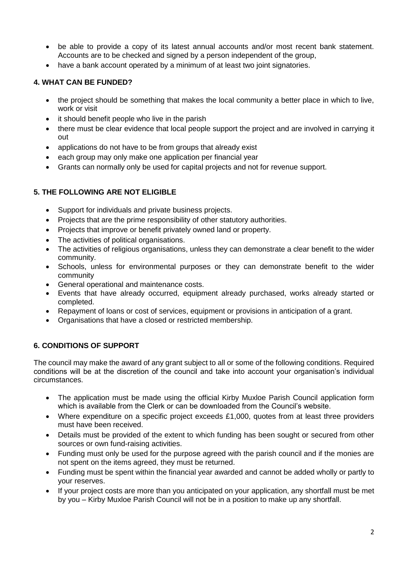- be able to provide a copy of its latest annual accounts and/or most recent bank statement. Accounts are to be checked and signed by a person independent of the group,
- have a bank account operated by a minimum of at least two joint signatories.

# **4. WHAT CAN BE FUNDED?**

- the project should be something that makes the local community a better place in which to live, work or visit
- it should benefit people who live in the parish
- there must be clear evidence that local people support the project and are involved in carrying it out
- applications do not have to be from groups that already exist
- each group may only make one application per financial year
- Grants can normally only be used for capital projects and not for revenue support.

# **5. THE FOLLOWING ARE NOT ELIGIBLE**

- Support for individuals and private business projects.
- Projects that are the prime responsibility of other statutory authorities.
- Projects that improve or benefit privately owned land or property.
- The activities of political organisations.
- The activities of religious organisations, unless they can demonstrate a clear benefit to the wider community.
- Schools, unless for environmental purposes or they can demonstrate benefit to the wider community
- General operational and maintenance costs.
- Events that have already occurred, equipment already purchased, works already started or completed.
- Repayment of loans or cost of services, equipment or provisions in anticipation of a grant.
- Organisations that have a closed or restricted membership.

# **6. CONDITIONS OF SUPPORT**

The council may make the award of any grant subject to all or some of the following conditions. Required conditions will be at the discretion of the council and take into account your organisation's individual circumstances.

- The application must be made using the official Kirby Muxloe Parish Council application form which is available from the Clerk or can be downloaded from the Council's website.
- Where expenditure on a specific project exceeds £1,000, quotes from at least three providers must have been received.
- Details must be provided of the extent to which funding has been sought or secured from other sources or own fund-raising activities.
- Funding must only be used for the purpose agreed with the parish council and if the monies are not spent on the items agreed, they must be returned.
- Funding must be spent within the financial year awarded and cannot be added wholly or partly to your reserves.
- If your project costs are more than you anticipated on your application, any shortfall must be met by you – Kirby Muxloe Parish Council will not be in a position to make up any shortfall.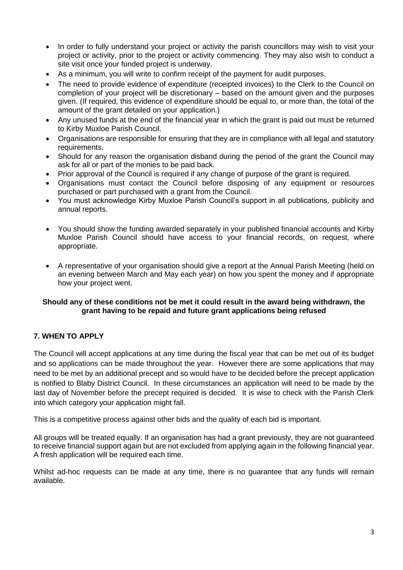- In order to fully understand your project or activity the parish councillors may wish to visit your project or activity, prior to the project or activity commencing. They may also wish to conduct a site visit once your funded project is underway.
- As a minimum, you will write to confirm receipt of the payment for audit purposes.
- The need to provide evidence of expenditure (receipted invoices) to the Clerk to the Council on completion of your project will be discretionary – based on the amount given and the purposes given. (If required, this evidence of expenditure should be equal to, or more than, the total of the amount of the grant detailed on your application.)
- Any unused funds at the end of the financial year in which the grant is paid out must be returned to Kirby Muxloe Parish Council.
- Organisations are responsible for ensuring that they are in compliance with all legal and statutory requirements.
- Should for any reason the organisation disband during the period of the grant the Council may ask for all or part of the monies to be paid back.
- Prior approval of the Council is required if any change of purpose of the grant is required.
- Organisations must contact the Council before disposing of any equipment or resources purchased or part purchased with a grant from the Council.
- You must acknowledge Kirby Muxloe Parish Council's support in all publications, publicity and annual reports.
- You should show the funding awarded separately in your published financial accounts and Kirby Muxloe Parish Council should have access to your financial records, on request, where appropriate.
- A representative of your organisation should give a report at the Annual Parish Meeting (held on an evening between March and May each year) on how you spent the money and if appropriate how your project went.

#### **Should any of these conditions not be met it could result in the award being withdrawn, the grant having to be repaid and future grant applications being refused**

# **7. WHEN TO APPLY**

The Council will accept applications at any time during the fiscal year that can be met out of its budget and so applications can be made throughout the year. However there are some applications that may need to be met by an additional precept and so would have to be decided before the precept application is notified to Blaby District Council. In these circumstances an application will need to be made by the last day of November before the precept required is decided. It is wise to check with the Parish Clerk into which category your application might fall.

This is a competitive process against other bids and the quality of each bid is important.

All groups will be treated equally. If an organisation has had a grant previously, they are not guaranteed to receive financial support again but are not excluded from applying again in the following financial year. A fresh application will be required each time.

Whilst ad-hoc requests can be made at any time, there is no guarantee that any funds will remain available.